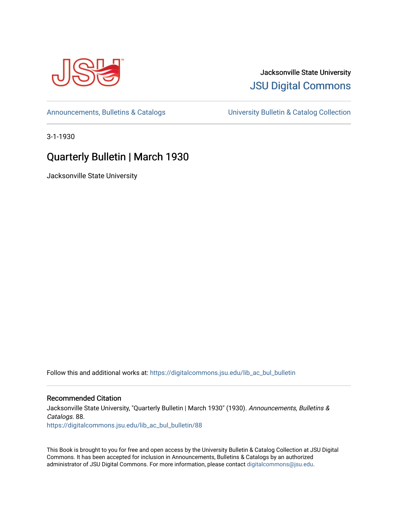

# Jacksonville State University [JSU Digital Commons](https://digitalcommons.jsu.edu/)

[Announcements, Bulletins & Catalogs](https://digitalcommons.jsu.edu/lib_ac_bul_bulletin) [University Bulletin & Catalog Collection](https://digitalcommons.jsu.edu/lib_ac_bulletin) 

3-1-1930

# Quarterly Bulletin | March 1930

Jacksonville State University

Follow this and additional works at: [https://digitalcommons.jsu.edu/lib\\_ac\\_bul\\_bulletin](https://digitalcommons.jsu.edu/lib_ac_bul_bulletin?utm_source=digitalcommons.jsu.edu%2Flib_ac_bul_bulletin%2F88&utm_medium=PDF&utm_campaign=PDFCoverPages) 

# Recommended Citation

Jacksonville State University, "Quarterly Bulletin | March 1930" (1930). Announcements, Bulletins & Catalogs. 88. [https://digitalcommons.jsu.edu/lib\\_ac\\_bul\\_bulletin/88](https://digitalcommons.jsu.edu/lib_ac_bul_bulletin/88?utm_source=digitalcommons.jsu.edu%2Flib_ac_bul_bulletin%2F88&utm_medium=PDF&utm_campaign=PDFCoverPages)

This Book is brought to you for free and open access by the University Bulletin & Catalog Collection at JSU Digital Commons. It has been accepted for inclusion in Announcements, Bulletins & Catalogs by an authorized administrator of JSU Digital Commons. For more information, please contact [digitalcommons@jsu.edu.](mailto:digitalcommons@jsu.edu)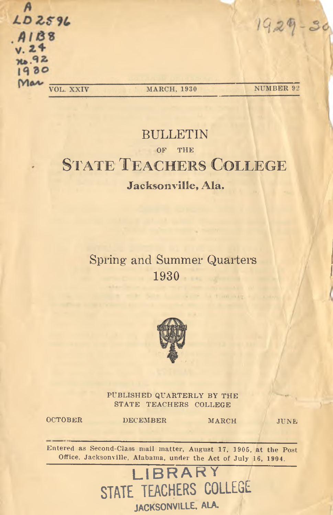| LD2596<br>$.4188$<br>$.24$<br>76.92<br>1930 |           |             | 1929.<br><b>CB</b> |
|---------------------------------------------|-----------|-------------|--------------------|
| Mar                                         | VOL. XXIV | MARCH, 1930 | NUMBER 92          |

# **BULLETIN** OF THE STATE TEACHERS COLLEGE **Jacksonville, Ala.**

# Spring and Summer Quarters **1930**



PUBLISHED QUARTERLY BY THE STATE TEACHERS COLLEGE

OCTOBER DECEMBER MARCH JUNE

Entered as Second-Class mail matter, August 17, 1905, at the Post Office, Jacksonville, Alabama, under the Act of July 16, 1904.

> **LIBRARY** STATE TEACHERS COLLEGE JACKSONVILLE, ALA.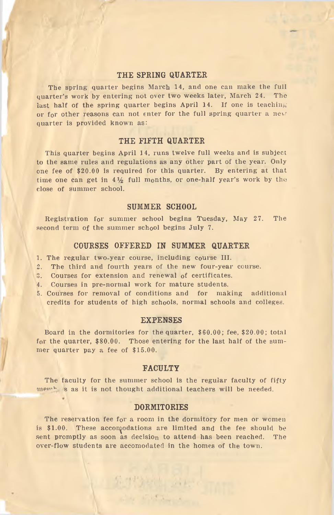### **THE SPRING QUARTER**

The spring quarter begins March 14, and one can make the full quarter's work by entering not over two weeks later, March 24. The last half of the spring quarter begins April 14. If one is teaching or for other reasons can not enter for the full spring quarter a new quarter is provided known as:

### **THE FIFTH QUARTER**

This quarter begins April 14, runs twelve full weeks and is subject to the same rules and regulations as any other part of the year. Only one fee of \$20.00 is required for this quarter. By entering at that time one can get in  $4\frac{1}{2}$  full months, or one-half year's work by the close of summer school.

#### **SUMMER SCHOOL**

Registration for summer school begins Tuesday, May 27. The second term of the summer school begins July 7.

#### **COURSES OFFERED IN SUMMER QUARTER**

- 1. The regular two-year course, including course III.
- 2. The third and fourth years of the new four-year course.
- 3. Courses for extension and renewal of certificates.
- 4. Courses in pre-normal work for mature students.
- 5. Courses for removal of conditions and for making additional credits for students of high schools, normal schools and colleges.

#### **EXPENSES**

Board in the dormitories for the quarter, \$60.00; fee, \$20.00; total for the quarter, \$80.00. Those entering for the last half of the summer quarter pay a fee of \$15.00.

#### **FACULTY**

The faculty for the summer school is the regular faculty of fifty  $m_{\rm e}$  is as it is not thought additional teachers will be needed.

#### **DORMITORIES**

The reservation fee for a room in the dormitory for men or women is \$1.00. These accomodations are limited and the fee should be sent promptly as soon as decision to attend has been reached. The over-flow students are accomodated in the homes of the town.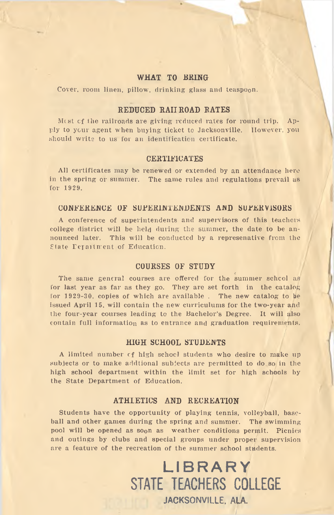#### **WHAT TO BRING**

Cover, room linen, pillow, drinking glass and teaspoon.

### **REDUCED RAIL ROAD RATES**

Most of the railroads are giving reduced rates for round trip. Apply to your agent when buying ticket to Jacksonville. However, you should write to us for an identification certificate.

#### **CERTIFICATES**

All certificates may be renewed or extended by an attendance here in the spring or summer. The same rules and regulations prevail us for 1929.

#### CONFERENCE OE SUPERINTENDENTS AND SUPERVISORS

A conference of superintendents and supervisors of this teachers college district will be held during the summer, the date to be announced later. This will be conducted by a representative from the State Department of Education.

#### **COURSES OF STUDY**

The same general courses are offered for the summer school as for last year as far as they go. They are set forth in the catalog for 1929-30, copies of which are available. The new catalog to be issued April 15, will contain the new curriculums for the two-year and the four-year courses leading to the Bachelor's Degree. It will also contain full information as to entrance and graduation requirements.

#### **HIGH SCHOOL STUDENTS**

A limited number cf high school students who desire to make up subjects or to make additional subjects are permitted to do so in the high school department within the limit set for high schools by the State Department of Education.

## **ATHLETICS AND RECREATION**

Students have the opportunity of playing tennis, volleyball, baseball and other games during the spring and summer. The swimming pool will be opened as soon as weather conditions permit. Picnics and outings by clubs and special groups under proper supervision are a feature of the recreation of the summer school students.

> LIBRARY STATE TEACHERS COLLEGE JACKSONVILLE, ALA.